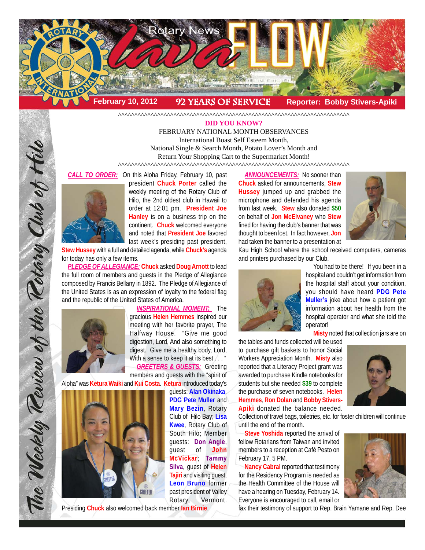

^^^^^^^^^^^^^^^^^^^^^^^^^^^^^^^^^^^^^^^^^^^^^^^^^^^^^^^^^^^^^^^^^^^^^^^

#### **DID YOU KNOW?**

FEBRUARY NATIONAL MONTH OBSERVANCES International Boast Self Esteem Month, National Single & Search Month, Potato Lover's Month and Return Your Shopping Cart to the Supermarket Month!

 $\frac{1}{2}$ 

*CALL TO ORDER:* On this Aloha Friday, February 10, past



president **Chuck Porter** called the weekly meeting of the Rotary Club of Hilo, the 2nd oldest club in Hawaii to order at 12:01 pm. **President Joe Hanley** is on a business trip on the continent. **Chuck** welcomed everyone and noted that **President Joe** favored last week's presiding past president,

**Stew Hussey** with a full and detailed agenda, while **Chuck's** agenda for today has only a few items.

*PLEDGE OF ALLEGIANCE:* **Chuck** asked **Doug Arnott** to lead the full room of members and guests in the Pledge of Allegiance composed by Francis Bellany in 1892. The Pledge of Allegiance of the United States is as an expression of loyalty to the federal flag and the republic of the United States of America.



*INSPIRATIONAL MOMENT:* The gracious **Helen Hemmes** inspired our meeting with her favorite prayer, The Halfway House. "Give me good digestion, Lord, And also something to digest. Give me a healthy body, Lord, With a sense to keep it at its best . . . '

*GREETERS & GUESTS:* Greeting members and guests with the "spirit of

Aloha" was **Ketura Waiki** and **Kui Costa**. **Ketura** introduced today's



guests: **Alan Okinaka**, **PDG Pete Muller** and **Mary Bezin**, Rotary Club of Hilo Bay; **Lisa Kwee**, Rotary Club of South Hilo; Member guests: **Don Angle**, guest of **John McVickar**; **Tammy Silva**, guest of **Helen Tajiri** and visiting guest, **Leon Bruno** former past president of Valley Rotary, Vermont. Presiding **Chuck** also welcomed back member **Ian Birnie**.

**ANNOUNCEMENTS:** No sooner than **Chuck** asked for announcements, **Stew Hussey** jumped up and grabbed the microphone and defended his agenda from last week. **Stew** also donated **\$50** on behalf of **Jon McElvaney** who **Stew** fined for having the club's banner that was thought to been lost. In fact however, **Jon** had taken the banner to a presentation at



Kau High School where the school received computers, cameras and printers purchased by our Club.



You had to be there! If you been in a hospital and couldn't get information from the hospital staff about your condition, you should have heard **PDG Pete Muller's** joke about how a patient got information about her health from the hospital operator and what she told the operator!

**Misty** noted that collection jars are on

the tables and funds collected will be used to purchase gift baskets to honor Social Workers Appreciation Month. **Misty** also reported that a Literacy Project grant was awarded to purchase Kindle notebooks for students but she needed **\$39** to complete the purchase of seven notebooks. **Helen Hemmes**, **Ron Dolan** and **Bobby Stivers-Apiki** donated the balance needed.

Collection of travel bags, toiletries, etc. for foster children will continue until the end of the month.

**Steve Yoshida** reported the arrival of fellow Rotarians from Taiwan and invited members to a reception at Café Pesto on February 17, 5 PM.

**Nancy Cabral** reported that testimony for the Residency Program is needed as the Health Committee of the House will have a hearing on Tuesday, February 14. Everyone is encouraged to call, email or





fax their testimony of support to Rep. Brain Yamane and Rep. Dee